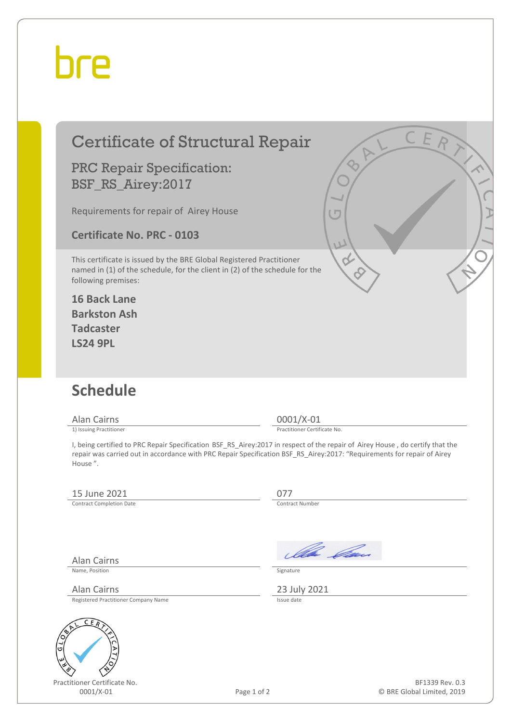## bre

| <b>Certificate of Structural Repair</b><br><b>PRC Repair Specification:</b><br>BSF_RS_Airey:2017<br>Requirements for repair of Airey House<br><b>Certificate No. PRC - 0103</b><br>This certificate is issued by the BRE Global Registered Practitioner<br>named in (1) of the schedule, for the client in (2) of the schedule for the<br>following premises:<br><b>16 Back Lane</b><br><b>Barkston Ash</b><br><b>Tadcaster</b><br><b>LS24 9PL</b> |                                         | CER<br>IΠ                                     |
|----------------------------------------------------------------------------------------------------------------------------------------------------------------------------------------------------------------------------------------------------------------------------------------------------------------------------------------------------------------------------------------------------------------------------------------------------|-----------------------------------------|-----------------------------------------------|
| <b>Schedule</b><br>Alan Cairns<br>1) Issuing Practitioner<br>I, being certified to PRC Repair Specification BSF_RS_Airey:2017 in respect of the repair of Airey House, do certify that the<br>repair was carried out in accordance with PRC Repair Specification BSF_RS_Airey:2017: "Requirements for repair of Airey<br>House".                                                                                                                   | $0001/X-01$                             | Practitioner Certificate No.                  |
| 15 June 2021<br><b>Contract Completion Date</b>                                                                                                                                                                                                                                                                                                                                                                                                    | 077<br>Contract Number                  |                                               |
| <b>Alan Cairns</b><br>Name, Position<br>Alan Cairns<br>Registered Practitioner Company Name<br>ER                                                                                                                                                                                                                                                                                                                                                  | Signature<br>23 July 2021<br>Issue date | Illa Can                                      |
| Practitioner Certificate No.<br>0001/X-01                                                                                                                                                                                                                                                                                                                                                                                                          | Page 1 of 2                             | BF1339 Rev. 0.3<br>© BRE Global Limited, 2019 |